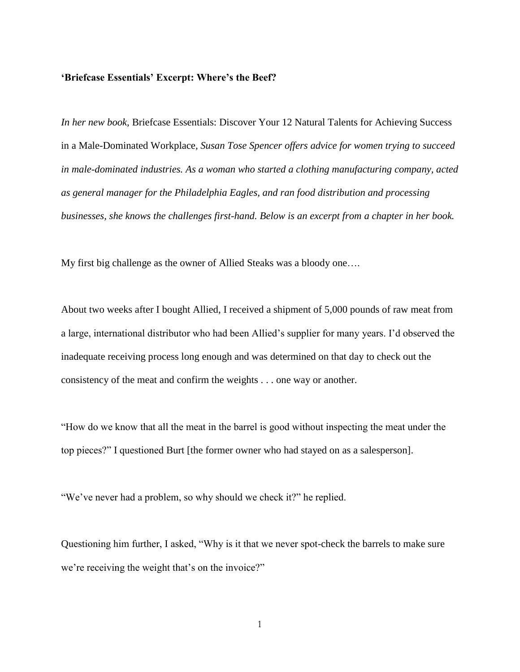## **'Briefcase Essentials' Excerpt: Where's the Beef?**

*In her new book,* Briefcase Essentials: Discover Your 12 Natural Talents for Achieving Success in a Male-Dominated Workplace*, Susan Tose Spencer offers advice for women trying to succeed in male-dominated industries. As a woman who started a clothing manufacturing company, acted as general manager for the Philadelphia Eagles, and ran food distribution and processing businesses, she knows the challenges first-hand. Below is an excerpt from a chapter in her book.*

My first big challenge as the owner of Allied Steaks was a bloody one….

About two weeks after I bought Allied, I received a shipment of 5,000 pounds of raw meat from a large, international distributor who had been Allied's supplier for many years. I'd observed the inadequate receiving process long enough and was determined on that day to check out the consistency of the meat and confirm the weights . . . one way or another.

"How do we know that all the meat in the barrel is good without inspecting the meat under the top pieces?" I questioned Burt [the former owner who had stayed on as a salesperson].

"We've never had a problem, so why should we check it?" he replied.

Questioning him further, I asked, "Why is it that we never spot-check the barrels to make sure we're receiving the weight that's on the invoice?"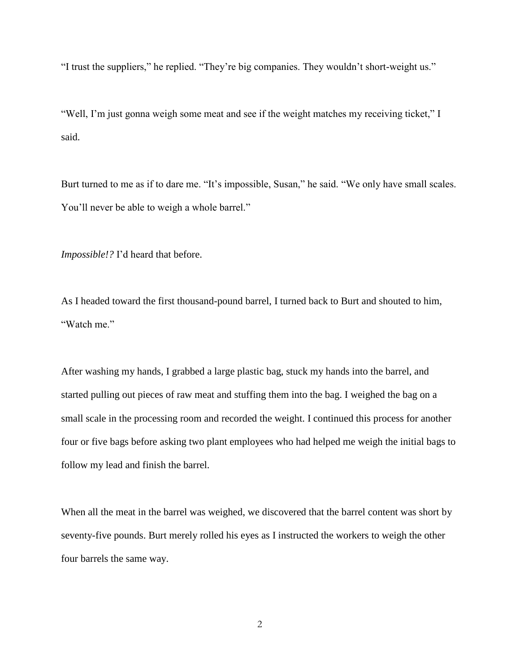"I trust the suppliers," he replied. "They're big companies. They wouldn't short-weight us."

"Well, I'm just gonna weigh some meat and see if the weight matches my receiving ticket," I said.

Burt turned to me as if to dare me. "It's impossible, Susan," he said. "We only have small scales. You'll never be able to weigh a whole barrel."

*Impossible!?* I'd heard that before.

As I headed toward the first thousand-pound barrel, I turned back to Burt and shouted to him, "Watch me."

After washing my hands, I grabbed a large plastic bag, stuck my hands into the barrel, and started pulling out pieces of raw meat and stuffing them into the bag. I weighed the bag on a small scale in the processing room and recorded the weight. I continued this process for another four or five bags before asking two plant employees who had helped me weigh the initial bags to follow my lead and finish the barrel.

When all the meat in the barrel was weighed, we discovered that the barrel content was short by seventy-five pounds. Burt merely rolled his eyes as I instructed the workers to weigh the other four barrels the same way.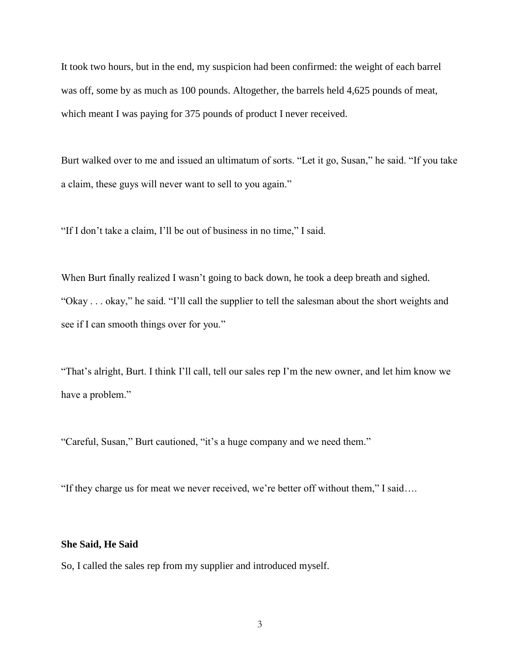It took two hours, but in the end, my suspicion had been confirmed: the weight of each barrel was off, some by as much as 100 pounds. Altogether, the barrels held 4,625 pounds of meat, which meant I was paying for 375 pounds of product I never received.

Burt walked over to me and issued an ultimatum of sorts. "Let it go, Susan," he said. "If you take a claim, these guys will never want to sell to you again."

"If I don't take a claim, I'll be out of business in no time," I said.

When Burt finally realized I wasn't going to back down, he took a deep breath and sighed. "Okay . . . okay," he said. "I'll call the supplier to tell the salesman about the short weights and see if I can smooth things over for you."

"That's alright, Burt. I think I'll call, tell our sales rep I'm the new owner, and let him know we have a problem."

"Careful, Susan," Burt cautioned, "it's a huge company and we need them."

"If they charge us for meat we never received, we're better off without them," I said….

## **She Said, He Said**

So, I called the sales rep from my supplier and introduced myself.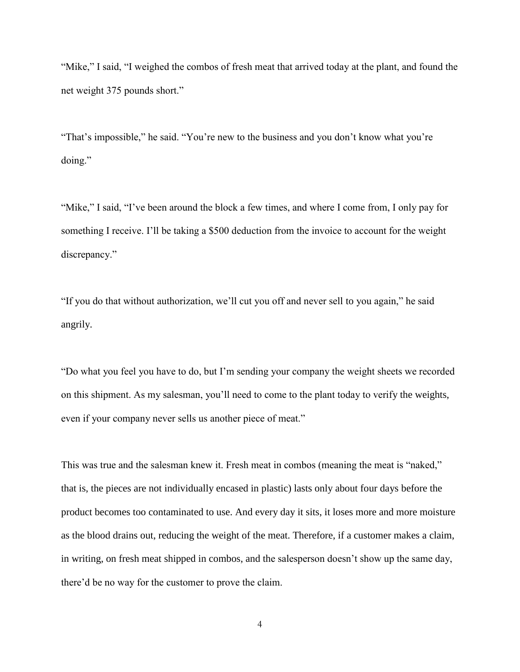"Mike," I said, "I weighed the combos of fresh meat that arrived today at the plant, and found the net weight 375 pounds short."

"That's impossible," he said. "You're new to the business and you don't know what you're doing."

"Mike," I said, "I've been around the block a few times, and where I come from, I only pay for something I receive. I'll be taking a \$500 deduction from the invoice to account for the weight discrepancy."

"If you do that without authorization, we'll cut you off and never sell to you again," he said angrily.

"Do what you feel you have to do, but I'm sending your company the weight sheets we recorded on this shipment. As my salesman, you'll need to come to the plant today to verify the weights, even if your company never sells us another piece of meat."

This was true and the salesman knew it. Fresh meat in combos (meaning the meat is "naked," that is, the pieces are not individually encased in plastic) lasts only about four days before the product becomes too contaminated to use. And every day it sits, it loses more and more moisture as the blood drains out, reducing the weight of the meat. Therefore, if a customer makes a claim, in writing, on fresh meat shipped in combos, and the salesperson doesn't show up the same day, there'd be no way for the customer to prove the claim.

4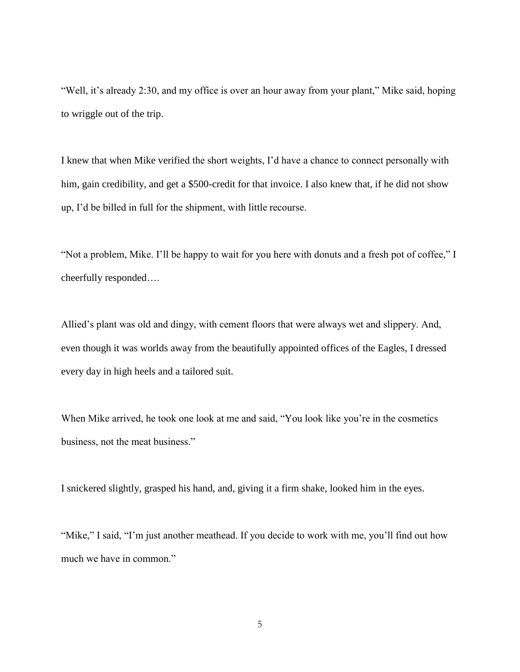"Well, it's already 2:30, and my office is over an hour away from your plant," Mike said, hoping to wriggle out of the trip.

I knew that when Mike verified the short weights, I'd have a chance to connect personally with him, gain credibility, and get a \$500-credit for that invoice. I also knew that, if he did not show up, I'd be billed in full for the shipment, with little recourse.

"Not a problem, Mike. I'll be happy to wait for you here with donuts and a fresh pot of coffee," I cheerfully responded….

Allied's plant was old and dingy, with cement floors that were always wet and slippery. And, even though it was worlds away from the beautifully appointed offices of the Eagles, I dressed every day in high heels and a tailored suit.

When Mike arrived, he took one look at me and said, "You look like you're in the cosmetics business, not the meat business."

I snickered slightly, grasped his hand, and, giving it a firm shake, looked him in the eyes.

"Mike," I said, "I'm just another meathead. If you decide to work with me, you'll find out how much we have in common."